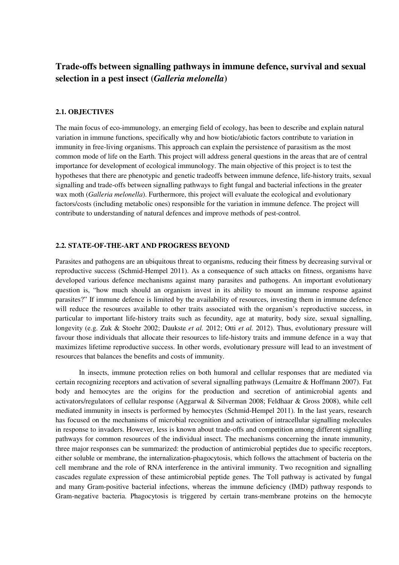# **Trade-offs between signalling pathways in immune defence, survival and sexual selection in a pest insect (***Galleria melonella***)**

# **2.1. OBJECTIVES**

The main focus of eco-immunology, an emerging field of ecology, has been to describe and explain natural variation in immune functions, specifically why and how biotic/abiotic factors contribute to variation in immunity in free-living organisms. This approach can explain the persistence of parasitism as the most common mode of life on the Earth. This project will address general questions in the areas that are of central importance for development of ecological immunology. The main objective of this project is to test the hypotheses that there are phenotypic and genetic tradeoffs between immune defence, life-history traits, sexual signalling and trade-offs between signalling pathways to fight fungal and bacterial infections in the greater wax moth (*Galleria melonella*). Furthermore, this project will evaluate the ecological and evolutionary factors/costs (including metabolic ones) responsible for the variation in immune defence. The project will contribute to understanding of natural defences and improve methods of pest-control.

# **2.2. STATE-OF-THE-ART AND PROGRESS BEYOND**

Parasites and pathogens are an ubiquitous threat to organisms, reducing their fitness by decreasing survival or reproductive success (Schmid-Hempel 2011). As a consequence of such attacks on fitness, organisms have developed various defence mechanisms against many parasites and pathogens. An important evolutionary question is, "how much should an organism invest in its ability to mount an immune response against parasites?" If immune defence is limited by the availability of resources, investing them in immune defence will reduce the resources available to other traits associated with the organism's reproductive success, in particular to important life-history traits such as fecundity, age at maturity, body size, sexual signalling, longevity (e.g. Zuk & Stoehr 2002; Daukste *et al.* 2012; Otti *et al.* 2012). Thus, evolutionary pressure will favour those individuals that allocate their resources to life-history traits and immune defence in a way that maximizes lifetime reproductive success. In other words, evolutionary pressure will lead to an investment of resources that balances the benefits and costs of immunity.

In insects, immune protection relies on both humoral and cellular responses that are mediated via certain recognizing receptors and activation of several signalling pathways (Lemaitre & Hoffmann 2007). Fat body and hemocytes are the origins for the production and secretion of antimicrobial agents and activators/regulators of cellular response (Aggarwal & Silverman 2008; Feldhaar & Gross 2008), while cell mediated immunity in insects is performed by hemocytes (Schmid-Hempel 2011). In the last years, research has focused on the mechanisms of microbial recognition and activation of intracellular signalling molecules in response to invaders. However, less is known about trade-offs and competition among different signalling pathways for common resources of the individual insect. The mechanisms concerning the innate immunity, three major responses can be summarized: the production of antimicrobial peptides due to specific receptors, either soluble or membrane, the internalization-phagocytosis, which follows the attachment of bacteria on the cell membrane and the role of RNA interference in the antiviral immunity. Two recognition and signalling cascades regulate expression of these antimicrobial peptide genes. The Toll pathway is activated by fungal and many Gram-positive bacterial infections, whereas the immune deficiency (IMD) pathway responds to Gram-negative bacteria. Phagocytosis is triggered by certain trans-membrane proteins on the hemocyte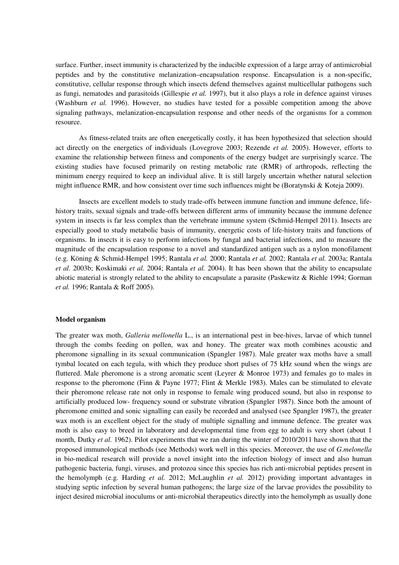surface. Further, insect immunity is characterized by the inducible expression of a large array of antimicrobial peptides and by the constitutive melanization–encapsulation response. Encapsulation is a non-specific, constitutive, cellular response through which insects defend themselves against multicellular pathogens such as fungi, nematodes and parasitoids (Gillespie *et al.* 1997), but it also plays a role in defence against viruses (Washburn *et al.* 1996). However, no studies have tested for a possible competition among the above signaling pathways, melanization-encapsulation response and other needs of the organisms for a common resource.

As fitness-related traits are often energetically costly, it has been hypothesized that selection should act directly on the energetics of individuals (Lovegrove 2003; Rezende *et al.* 2005). However, efforts to examine the relationship between fitness and components of the energy budget are surprisingly scarce. The existing studies have focused primarily on resting metabolic rate (RMR) of arthropods, reflecting the minimum energy required to keep an individual alive. It is still largely uncertain whether natural selection might influence RMR, and how consistent over time such influences might be (Boratynski & Koteja 2009).

Insects are excellent models to study trade-offs between immune function and immune defence, lifehistory traits, sexual signals and trade-offs between different arms of immunity because the immune defence system in insects is far less complex than the vertebrate immune system (Schmid-Hempel 2011). Insects are especially good to study metabolic basis of immunity, energetic costs of life-history traits and functions of organisms. In insects it is easy to perform infections by fungal and bacterial infections, and to measure the magnitude of the encapsulation response to a novel and standardized antigen such as a nylon monofilament (e.g. Köning & Schmid-Hempel 1995; Rantala *et al.* 2000; Rantala *et al.* 2002; Rantala *et al.* 2003a; Rantala *et al.* 2003b; Koskimaki *et al.* 2004; Rantala *et al.* 2004). It has been shown that the ability to encapsulate abiotic material is strongly related to the ability to encapsulate a parasite (Paskewitz & Riehle 1994; Gorman *et al.* 1996; Rantala & Roff 2005).

#### **Model organism**

The greater wax moth, *Galleria mellonella* L., is an international pest in bee-hives, larvae of which tunnel through the combs feeding on pollen, wax and honey. The greater wax moth combines acoustic and pheromone signalling in its sexual communication (Spangler 1987). Male greater wax moths have a small tymbal located on each tegula, with which they produce short pulses of 75 kHz sound when the wings are fluttered. Male pheromone is a strong aromatic scent (Leyrer & Monroe 1973) and females go to males in response to the pheromone (Finn & Payne 1977; Flint & Merkle 1983). Males can be stimulated to elevate their pheromone release rate not only in response to female wing produced sound, but also in response to artificially produced low- frequency sound or substrate vibration (Spangler 1987). Since both the amount of pheromone emitted and sonic signalling can easily be recorded and analysed (see Spangler 1987), the greater wax moth is an excellent object for the study of multiple signalling and immune defence. The greater wax moth is also easy to breed in laboratory and developmental time from egg to adult is very short (about 1 month, Dutky *et al.* 1962). Pilot experiments that we ran during the winter of 2010/2011 have shown that the proposed immunological methods (see Methods) work well in this species. Moreover, the use of *G.melonella* in bio-medical research will provide a novel insight into the infection biology of insect and also human pathogenic bacteria, fungi, viruses, and protozoa since this species has rich anti-microbial peptides present in the hemolymph (e.g. Harding *et al.* 2012; McLaughlin *et al.* 2012) providing important advantages in studying septic infection by several human pathogens; the large size of the larvae provides the possibility to inject desired microbial inoculums or anti-microbial therapeutics directly into the hemolymph as usually done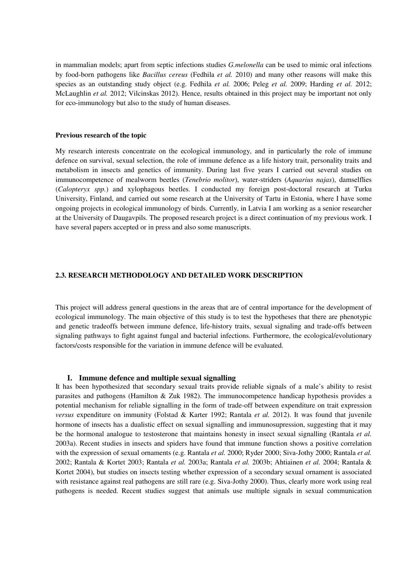in mammalian models; apart from septic infections studies *G.melonella* can be used to mimic oral infections by food-born pathogens like *Bacillus cereus* (Fedhila *et al.* 2010) and many other reasons will make this species as an outstanding study object (e.g. Fedhila *et al.* 2006; Peleg *et al.* 2009; Harding *et al.* 2012; McLaughlin *et al.* 2012; Vilcinskas 2012). Hence, results obtained in this project may be important not only for eco-immunology but also to the study of human diseases.

#### **Previous research of the topic**

My research interests concentrate on the ecological immunology, and in particularly the role of immune defence on survival, sexual selection, the role of immune defence as a life history trait, personality traits and metabolism in insects and genetics of immunity. During last five years I carried out several studies on immunocompetence of mealworm beetles (*Tenebrio molitor*), water-striders (*Aquarius najas*), damselflies (*Calopteryx spp.*) and xylophagous beetles. I conducted my foreign post-doctoral research at Turku University, Finland, and carried out some research at the University of Tartu in Estonia, where I have some ongoing projects in ecological immunology of birds. Currently, in Latvia I am working as a senior researcher at the University of Daugavpils. The proposed research project is a direct continuation of my previous work. I have several papers accepted or in press and also some manuscripts.

# **2.3. RESEARCH METHODOLOGY AND DETAILED WORK DESCRIPTION**

This project will address general questions in the areas that are of central importance for the development of ecological immunology. The main objective of this study is to test the hypotheses that there are phenotypic and genetic tradeoffs between immune defence, life-history traits, sexual signaling and trade-offs between signaling pathways to fight against fungal and bacterial infections. Furthermore, the ecological/evolutionary factors/costs responsible for the variation in immune defence will be evaluated.

### **I. Immune defence and multiple sexual signalling**

It has been hypothesized that secondary sexual traits provide reliable signals of a male's ability to resist parasites and pathogens (Hamilton & Zuk 1982). The immunocompetence handicap hypothesis provides a potential mechanism for reliable signalling in the form of trade-off between expenditure on trait expression *versus* expenditure on immunity (Folstad & Karter 1992; Rantala *et al.* 2012). It was found that juvenile hormone of insects has a dualistic effect on sexual signalling and immunosupression, suggesting that it may be the hormonal analogue to testosterone that maintains honesty in insect sexual signalling (Rantala *et al.* 2003a). Recent studies in insects and spiders have found that immune function shows a positive correlation with the expression of sexual ornaments (e.g. Rantala *et al.* 2000; Ryder 2000; Siva-Jothy 2000; Rantala *et al.* 2002; Rantala & Kortet 2003; Rantala *et al.* 2003a; Rantala *et al.* 2003b; Ahtiainen *et al.* 2004; Rantala & Kortet 2004), but studies on insects testing whether expression of a secondary sexual ornament is associated with resistance against real pathogens are still rare (e.g. Siva-Jothy 2000). Thus, clearly more work using real pathogens is needed. Recent studies suggest that animals use multiple signals in sexual communication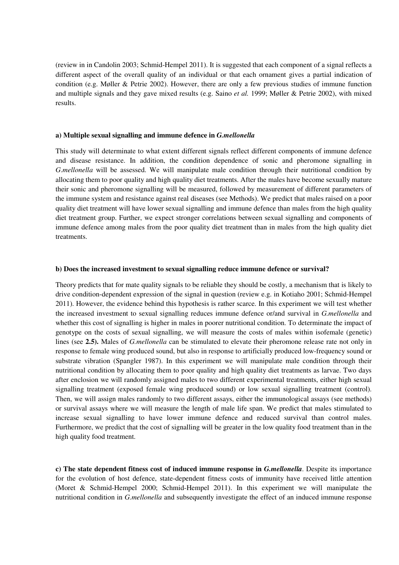(review in in Candolin 2003; Schmid-Hempel 2011). It is suggested that each component of a signal reflects a different aspect of the overall quality of an individual or that each ornament gives a partial indication of condition (e.g. Møller & Petrie 2002). However, there are only a few previous studies of immune function and multiple signals and they gave mixed results (e.g. Saino *et al.* 1999; Møller & Petrie 2002), with mixed results.

### **a) Multiple sexual signalling and immune defence in** *G.mellonella*

This study will determinate to what extent different signals reflect different components of immune defence and disease resistance. In addition, the condition dependence of sonic and pheromone signalling in *G*.*mellonella* will be assessed. We will manipulate male condition through their nutritional condition by allocating them to poor quality and high quality diet treatments. After the males have become sexually mature their sonic and pheromone signalling will be measured, followed by measurement of different parameters of the immune system and resistance against real diseases (see Methods). We predict that males raised on a poor quality diet treatment will have lower sexual signalling and immune defence than males from the high quality diet treatment group. Further, we expect stronger correlations between sexual signalling and components of immune defence among males from the poor quality diet treatment than in males from the high quality diet treatments.

# **b) Does the increased investment to sexual signalling reduce immune defence or survival?**

Theory predicts that for mate quality signals to be reliable they should be costly, a mechanism that is likely to drive condition-dependent expression of the signal in question (review e.g. in Kotiaho 2001; Schmid-Hempel 2011). However, the evidence behind this hypothesis is rather scarce. In this experiment we will test whether the increased investment to sexual signalling reduces immune defence or/and survival in *G.mellonella* and whether this cost of signalling is higher in males in poorer nutritional condition. To determinate the impact of genotype on the costs of sexual signalling, we will measure the costs of males within isofemale (genetic) lines (see **2.5).** Males of *G.mellonella* can be stimulated to elevate their pheromone release rate not only in response to female wing produced sound, but also in response to artificially produced low-frequency sound or substrate vibration (Spangler 1987). In this experiment we will manipulate male condition through their nutritional condition by allocating them to poor quality and high quality diet treatments as larvae. Two days after enclosion we will randomly assigned males to two different experimental treatments, either high sexual signalling treatment (exposed female wing produced sound) or low sexual signalling treatment (control). Then, we will assign males randomly to two different assays, either the immunological assays (see methods) or survival assays where we will measure the length of male life span. We predict that males stimulated to increase sexual signalling to have lower immune defence and reduced survival than control males. Furthermore, we predict that the cost of signalling will be greater in the low quality food treatment than in the high quality food treatment.

**c) The state dependent fitness cost of induced immune response in** *G.mellonella*. Despite its importance for the evolution of host defence, state-dependent fitness costs of immunity have received little attention (Moret & Schmid-Hempel 2000; Schmid-Hempel 2011). In this experiment we will manipulate the nutritional condition in *G.mellonella* and subsequently investigate the effect of an induced immune response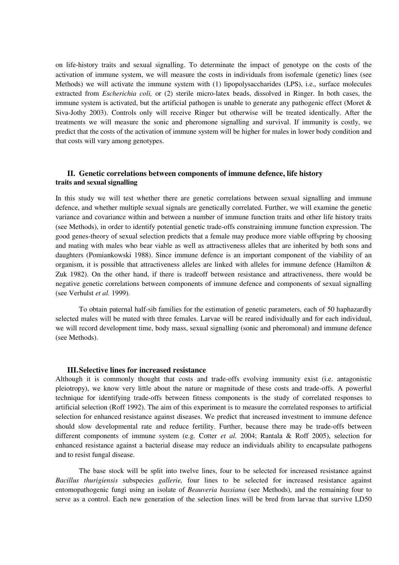on life-history traits and sexual signalling. To determinate the impact of genotype on the costs of the activation of immune system, we will measure the costs in individuals from isofemale (genetic) lines (see Methods) we will activate the immune system with (1) lipopolysaccharides (LPS), i.e., surface molecules extracted from *Escherichia coli,* or (2) sterile micro-latex beads, dissolved in Ringer. In both cases, the immune system is activated, but the artificial pathogen is unable to generate any pathogenic effect (Moret & Siva-Jothy 2003). Controls only will receive Ringer but otherwise will be treated identically. After the treatments we will measure the sonic and pheromone signalling and survival. If immunity is costly, we predict that the costs of the activation of immune system will be higher for males in lower body condition and that costs will vary among genotypes.

# **II. Genetic correlations between components of immune defence, life history traits and sexual signalling**

In this study we will test whether there are genetic correlations between sexual signalling and immune defence, and whether multiple sexual signals are genetically correlated. Further, we will examine the genetic variance and covariance within and between a number of immune function traits and other life history traits (see Methods), in order to identify potential genetic trade-offs constraining immune function expression. The good genes-theory of sexual selection predicts that a female may produce more viable offspring by choosing and mating with males who bear viable as well as attractiveness alleles that are inherited by both sons and daughters (Pomiankowski 1988). Since immune defence is an important component of the viability of an organism, it is possible that attractiveness alleles are linked with alleles for immune defence (Hamilton & Zuk 1982). On the other hand, if there is tradeoff between resistance and attractiveness, there would be negative genetic correlations between components of immune defence and components of sexual signalling (see Verhulst *et al.* 1999).

To obtain paternal half-sib families for the estimation of genetic parameters, each of 50 haphazardly selected males will be mated with three females. Larvae will be reared individually and for each individual, we will record development time, body mass, sexual signalling (sonic and pheromonal) and immune defence (see Methods).

# **III.Selective lines for increased resistance**

Although it is commonly thought that costs and trade-offs evolving immunity exist (i.e. antagonistic pleiotropy), we know very little about the nature or magnitude of these costs and trade-offs. A powerful technique for identifying trade-offs between fitness components is the study of correlated responses to artificial selection (Roff 1992). The aim of this experiment is to measure the correlated responses to artificial selection for enhanced resistance against diseases. We predict that increased investment to immune defence should slow developmental rate and reduce fertility. Further, because there may be trade-offs between different components of immune system (e.g. Cotter *et al.* 2004; Rantala & Roff 2005), selection for enhanced resistance against a bacterial disease may reduce an individuals ability to encapsulate pathogens and to resist fungal disease.

The base stock will be split into twelve lines, four to be selected for increased resistance against *Bacillus thurigiensis* subspecies *gallerie,* four lines to be selected for increased resistance against entomopathogenic fungi using an isolate of *Beauveria bassiana* (see Methods), and the remaining four to serve as a control. Each new generation of the selection lines will be bred from larvae that survive LD50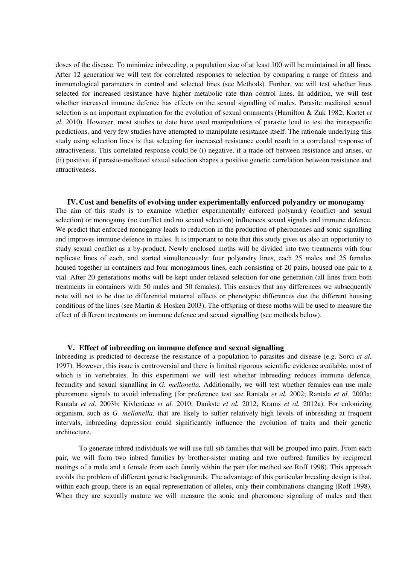doses of the disease. To minimize inbreeding, a population size of at least 100 will be maintained in all lines. After 12 generation we will test for correlated responses to selection by comparing a range of fitness and immunological parameters in control and selected lines (see Methods). Further, we will test whether lines selected for increased resistance have higher metabolic rate than control lines. In addition, we will test whether increased immune defence has effects on the sexual signalling of males. Parasite mediated sexual selection is an important explanation for the evolution of sexual ornaments (Hamilton & Zuk 1982; Kortet *et al.* 2010). However, most studies to date have used manipulations of parasite load to test the intraspecific predictions, and very few studies have attempted to manipulate resistance itself. The rationale underlying this study using selection lines is that selecting for increased resistance could result in a correlated response of attractiveness. This correlated response could be (i) negative, if a trade-off between resistance and arises, or (ii) positive, if parasite-mediated sexual selection shapes a positive genetic correlation between resistance and attractiveness.

**IV.Cost and benefits of evolving under experimentally enforced polyandry or monogamy** The aim of this study is to examine whether experimentally enforced polyandry (conflict and sexual selection) or monogamy (no conflict and no sexual selection) influences sexual signals and immune defence. We predict that enforced monogamy leads to reduction in the production of pheromones and sonic signalling and improves immune defence in males. It is important to note that this study gives us also an opportunity to study sexual conflict as a by-product. Newly enclosed moths will be divided into two treatments with four replicate lines of each, and started simultaneously: four polyandry lines, each 25 males and 25 females housed together in containers and four monogamous lines, each consisting of 20 pairs, housed one pair to a vial. After 20 generations moths will be kept under relaxed selection for one generation (all lines from both treatments in containers with 50 males and 50 females). This ensures that any differences we subsequently note will not to be due to differential maternal effects or phenotypic differences due the different housing conditions of the lines (see Martin & Hosken 2003). The offspring of these moths will be used to measure the effect of different treatments on immune defence and sexual signalling (see methods below).

# **V. Effect of inbreeding on immune defence and sexual signalling**

Inbreeding is predicted to decrease the resistance of a population to parasites and disease (e.g. Sorci *et al.* 1997). However, this issue is controversial and there is limited rigorous scientific evidence available, most of which is in vertebrates. In this experiment we will test whether inbreeding reduces immune defence, fecundity and sexual signalling in *G. mellonella.* Additionally, we will test whether females can use male pheromone signals to avoid inbreeding (for preference test see Rantala *et al.* 2002; Rantala *et al.* 2003a; Rantala *et al.* 2003b; Kivleniece *et al.* 2010; Daukste *et al.* 2012; Krams *et al.* 2012a). For colonizing organism, such as *G. mellonella,* that are likely to suffer relatively high levels of inbreeding at frequent intervals, inbreeding depression could significantly influence the evolution of traits and their genetic architecture.

To generate inbred individuals we will use full sib families that will be grouped into pairs. From each pair, we will form two inbred families by brother-sister mating and two outbred families by reciprocal matings of a male and a female from each family within the pair (for method see Roff 1998). This approach avoids the problem of different genetic backgrounds. The advantage of this particular breeding design is that, within each group, there is an equal representation of alleles, only their combinations changing (Roff 1998). When they are sexually mature we will measure the sonic and pheromone signaling of males and then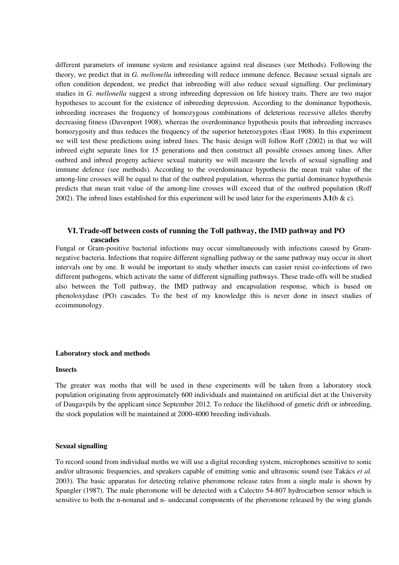different parameters of immune system and resistance against real diseases (see Methods). Following the theory, we predict that in *G. mellonella* inbreeding will reduce immune defence. Because sexual signals are often condition dependent, we predict that inbreeding will also reduce sexual signalling. Our preliminary studies in *G. mellonella* suggest a strong inbreeding depression on life history traits. There are two major hypotheses to account for the existence of inbreeding depression. According to the dominance hypothesis, inbreeding increases the frequency of homozygous combinations of deleterious recessive alleles thereby decreasing fitness (Davenport 1908), whereas the overdominance hypothesis posits that inbreeding increases homozygosity and thus reduces the frequency of the superior heterozygotes (East 1908). In this experiment we will test these predictions using inbred lines. The basic design will follow Roff (2002) in that we will inbreed eight separate lines for 15 generations and then construct all possible crosses among lines. After outbred and inbred progeny achieve sexual maturity we will measure the levels of sexual signalling and immune defence (see methods). According to the overdominance hypothesis the mean trait value of the among-line crosses will be equal to that of the outbred population, whereas the partial dominance hypothesis predicts that mean trait value of the among-line crosses will exceed that of the outbred population (Roff 2002). The inbred lines established for this experiment will be used later for the experiments **3.1(**b & c).

# **VI.Trade-off between costs of running the Toll pathway, the IMD pathway and PO cascades**

Fungal or Gram-positive bacterial infections may occur simultaneously with infections caused by Gramnegative bacteria. Infections that require different signalling pathway or the same pathway may occur in short intervals one by one. It would be important to study whether insects can easier resist co-infections of two different pathogens, which activate the same of different signalling pathways. These trade-offs will be studied also between the Toll pathway, the IMD pathway and encapsulation response, which is based on phenoloxydase (PO) cascades. To the best of my knowledge this is never done in insect studies of ecoimmunology.

#### **Laboratory stock and methods**

### **Insects**

The greater wax moths that will be used in these experiments will be taken from a laboratory stock population originating from approximately 600 individuals and maintained on artificial diet at the University of Daugavpils by the applicant since September 2012. To reduce the likelihood of genetic drift or inbreeding, the stock population will be maintained at 2000-4000 breeding individuals.

### **Sexual signalling**

To record sound from individual moths we will use a digital recording system, microphones sensitive to sonic and/or ultrasonic frequencies, and speakers capable of emitting sonic and ultrasonic sound (see Takács *et al.* 2003). The basic apparatus for detecting relative pheromone release rates from a single male is shown by Spangler (1987). The male pheromone will be detected with a Calectro 54-807 hydrocarbon sensor which is sensitive to both the n-nonanal and n- undecanal components of the pheromone released by the wing glands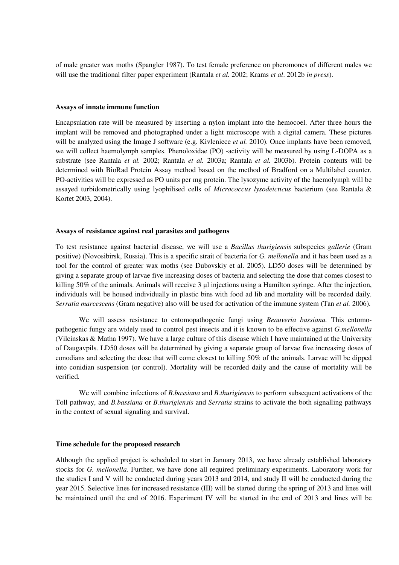of male greater wax moths (Spangler 1987). To test female preference on pheromones of different males we will use the traditional filter paper experiment (Rantala *et al.* 2002; Krams *et al*. 2012b *in press*).

#### **Assays of innate immune function**

Encapsulation rate will be measured by inserting a nylon implant into the hemocoel. After three hours the implant will be removed and photographed under a light microscope with a digital camera. These pictures will be analyzed using the Image J software (e.g. Kivleniece *et al.* 2010). Once implants have been removed, we will collect haemolymph samples. Phenoloxidae (PO) -activity will be measured by using L-DOPA as a substrate (see Rantala *et al.* 2002; Rantala *et al.* 2003a; Rantala *et al.* 2003b). Protein contents will be determined with BioRad Protein Assay method based on the method of Bradford on a Multilabel counter. PO-activities will be expressed as PO units per mg protein. The lysozyme activity of the haemolymph will be assayed turbidometrically using lyophilised cells of *Micrococcus lysodeicticus* bacterium (see Rantala & Kortet 2003, 2004).

## **Assays of resistance against real parasites and pathogens**

To test resistance against bacterial disease, we will use a *Bacillus thurigiensis* subspecies *gallerie* (Gram positive) (Novosibirsk, Russia). This is a specific strait of bacteria for *G. mellonella* and it has been used as a tool for the control of greater wax moths (see Dubovskiy et al. 2005). LD50 doses will be determined by giving a separate group of larvae five increasing doses of bacteria and selecting the dose that comes closest to killing 50% of the animals. Animals will receive  $3 \mu$  injections using a Hamilton syringe. After the injection, individuals will be housed individually in plastic bins with food ad lib and mortality will be recorded daily. *Serratia marcescens* (Gram negative) also will be used for activation of the immune system (Tan *et al.* 2006).

We will assess resistance to entomopathogenic fungi using *Beauveria bassiana.* This entomopathogenic fungy are widely used to control pest insects and it is known to be effective against *G.mellonella*  (Vilcinskas & Matha 1997). We have a large culture of this disease which I have maintained at the University of Daugavpils. LD50 doses will be determined by giving a separate group of larvae five increasing doses of conodians and selecting the dose that will come closest to killing 50% of the animals. Larvae will be dipped into conidian suspension (or control). Mortality will be recorded daily and the cause of mortality will be verified.

We will combine infections of *B.bassiana* and *B.thurigiensis* to perform subsequent activations of the Toll pathway, and *B.bassiana* or *B.thurigiensis* and *Serratia* strains to activate the both signalling pathways in the context of sexual signaling and survival.

#### **Time schedule for the proposed research**

Although the applied project is scheduled to start in January 2013, we have already established laboratory stocks for *G. mellonella.* Further, we have done all required preliminary experiments. Laboratory work for the studies I and V will be conducted during years 2013 and 2014, and study II will be conducted during the year 2015. Selective lines for increased resistance (III) will be started during the spring of 2013 and lines will be maintained until the end of 2016. Experiment IV will be started in the end of 2013 and lines will be